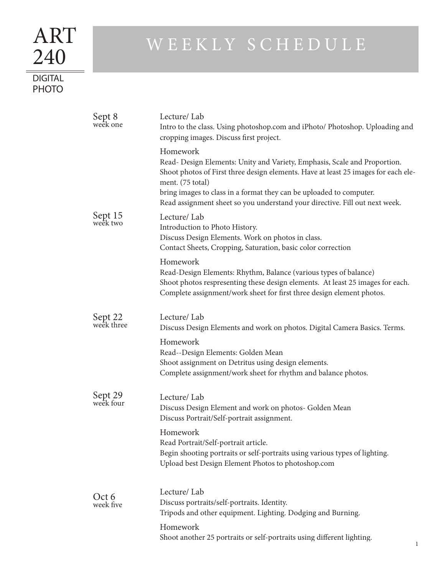## WEEKLY SCHEDULE

## **DIGITAL** PHOTO

240

ART

| Sept 8<br>week one    | Lecture/Lab<br>Intro to the class. Using photoshop.com and iPhoto/ Photoshop. Uploading and<br>cropping images. Discuss first project.                                                                                                                                                                                                                |  |
|-----------------------|-------------------------------------------------------------------------------------------------------------------------------------------------------------------------------------------------------------------------------------------------------------------------------------------------------------------------------------------------------|--|
|                       | Homework<br>Read- Design Elements: Unity and Variety, Emphasis, Scale and Proportion.<br>Shoot photos of First three design elements. Have at least 25 images for each ele-<br>ment. (75 total)<br>bring images to class in a format they can be uploaded to computer.<br>Read assignment sheet so you understand your directive. Fill out next week. |  |
| Sept 15<br>week two   | Lecture/Lab<br>Introduction to Photo History.<br>Discuss Design Elements. Work on photos in class.<br>Contact Sheets, Cropping, Saturation, basic color correction                                                                                                                                                                                    |  |
|                       | Homework<br>Read-Design Elements: Rhythm, Balance (various types of balance)<br>Shoot photos respresenting these design elements. At least 25 images for each.<br>Complete assignment/work sheet for first three design element photos.                                                                                                               |  |
| Sept 22<br>week three | Lecture/Lab<br>Discuss Design Elements and work on photos. Digital Camera Basics. Terms.                                                                                                                                                                                                                                                              |  |
|                       | Homework<br>Read--Design Elements: Golden Mean<br>Shoot assignment on Detritus using design elements.<br>Complete assignment/work sheet for rhythm and balance photos.                                                                                                                                                                                |  |
| Sept 29<br>week four  | Lecture/Lab<br>Discuss Design Element and work on photos- Golden Mean<br>Discuss Portrait/Self-portrait assignment.                                                                                                                                                                                                                                   |  |
|                       | Homework<br>Read Portrait/Self-portrait article.<br>Begin shooting portraits or self-portraits using various types of lighting.<br>Upload best Design Element Photos to photoshop.com                                                                                                                                                                 |  |
| Oct 6<br>week five    | Lecture/Lab<br>Discuss portraits/self-portraits. Identity.<br>Tripods and other equipment. Lighting. Dodging and Burning.<br>Homework                                                                                                                                                                                                                 |  |
|                       | Shoot another 25 portraits or self-portraits using different lighting.                                                                                                                                                                                                                                                                                |  |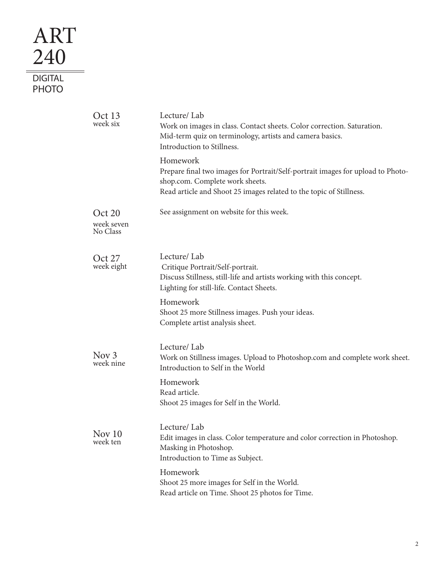## ART 240  $\equiv$ **DIGITAL** PHOTO

| Oct 13<br>week six               | Lecture/Lab<br>Work on images in class. Contact sheets. Color correction. Saturation.<br>Mid-term quiz on terminology, artists and camera basics.<br>Introduction to Stillness.                                                                                        |
|----------------------------------|------------------------------------------------------------------------------------------------------------------------------------------------------------------------------------------------------------------------------------------------------------------------|
|                                  | Homework<br>Prepare final two images for Portrait/Self-portrait images for upload to Photo-<br>shop.com. Complete work sheets.<br>Read article and Shoot 25 images related to the topic of Stillness.                                                                  |
| Oct 20<br>week seven<br>No Class | See assignment on website for this week.                                                                                                                                                                                                                               |
| Oct 27<br>week eight             | Lecture/Lab<br>Critique Portrait/Self-portrait.<br>Discuss Stillness, still-life and artists working with this concept.<br>Lighting for still-life. Contact Sheets.<br>Homework<br>Shoot 25 more Stillness images. Push your ideas.<br>Complete artist analysis sheet. |
| Nov $3$<br>week nine             | Lecture/Lab<br>Work on Stillness images. Upload to Photoshop.com and complete work sheet.<br>Introduction to Self in the World                                                                                                                                         |
|                                  | Homework<br>Read article.<br>Shoot 25 images for Self in the World.                                                                                                                                                                                                    |
| Nov 10<br>week ten               | Lecture/Lab<br>Edit images in class. Color temperature and color correction in Photoshop.<br>Masking in Photoshop.<br>Introduction to Time as Subject.                                                                                                                 |
|                                  | Homework<br>Shoot 25 more images for Self in the World.<br>Read article on Time. Shoot 25 photos for Time.                                                                                                                                                             |